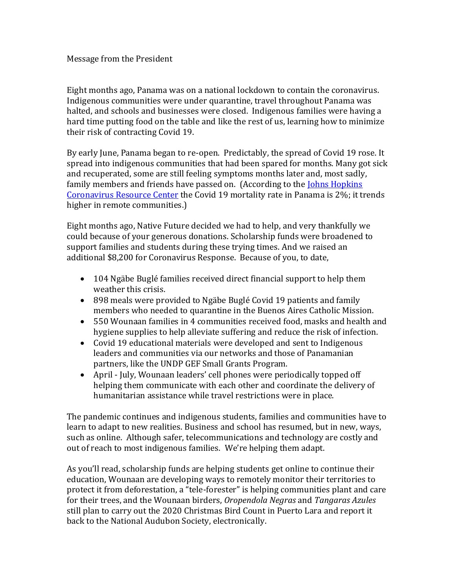## Message from the President

Eight months ago, Panama was on a national lockdown to contain the coronavirus. Indigenous communities were under quarantine, travel throughout Panama was halted, and schools and businesses were closed. Indigenous families were having a hard time putting food on the table and like the rest of us, learning how to minimize their risk of contracting Covid 19.

By early June, Panama began to re-open. Predictably, the spread of Covid 19 rose. It spread into indigenous communities that had been spared for months. Many got sick and recuperated, some are still feeling symptoms months later and, most sadly, family members and friends have passed on. (According to the Johns Hopkins [Coronavirus Resource Center](https://coronavirus.jhu.edu/data/mortality) the Covid 19 mortality rate in Panama is 2%; it trends higher in remote communities.)

Eight months ago, Native Future decided we had to help, and very thankfully we could because of your generous donations. Scholarship funds were broadened to support families and students during these trying times. And we raised an additional \$8,200 for Coronavirus Response. Because of you, to date,

- 104 Ngäbe Buglé families received direct financial support to help them weather this crisis.
- 898 meals were provided to Ngäbe Buglé Covid 19 patients and family members who needed to quarantine in the Buenos Aires Catholic Mission.
- 550 Wounaan families in 4 communities received food, masks and health and hygiene supplies to help alleviate suffering and reduce the risk of infection.
- Covid 19 educational materials were developed and sent to Indigenous leaders and communities via our networks and those of Panamanian partners, like the UNDP GEF Small Grants Program.
- April July, Wounaan leaders' cell phones were periodically topped off helping them communicate with each other and coordinate the delivery of humanitarian assistance while travel restrictions were in place.

The pandemic continues and indigenous students, families and communities have to learn to adapt to new realities. Business and school has resumed, but in new, ways, such as online. Although safer, telecommunications and technology are costly and out of reach to most indigenous families. We're helping them adapt.

As you'll read, scholarship funds are helping students get online to continue their education, Wounaan are developing ways to remotely monitor their territories to protect it from deforestation, a "tele-forester" is helping communities plant and care for their trees, and the Wounaan birders, *Oropendola Negras* and *Tangaras Azules* still plan to carry out the 2020 Christmas Bird Count in Puerto Lara and report it back to the National Audubon Society, electronically.